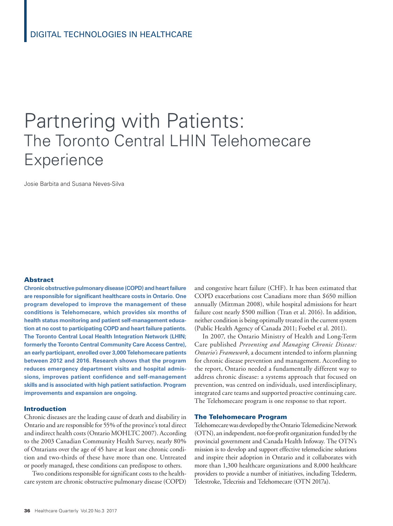# Partnering with Patients: The Toronto Central LHIN Telehomecare **Experience**

Josie Barbita and Susana Neves-Silva

## Abstract

**Chronic obstructive pulmonary disease (COPD) and heart failure are responsible for significant healthcare costs in Ontario. One program developed to improve the management of these conditions is Telehomecare, which provides six months of health status monitoring and patient self-management education at no cost to participating COPD and heart failure patients. The Toronto Central Local Health Integration Network (LHIN; formerly the Toronto Central Community Care Access Centre), an early participant, enrolled over 3,000 Telehomecare patients between 2012 and 2016. Research shows that the program reduces emergency department visits and hospital admissions, improves patient confidence and self-management skills and is associated with high patient satisfaction. Program improvements and expansion are ongoing.**

## Introduction

Chronic diseases are the leading cause of death and disability in Ontario and are responsible for 55% of the province's total direct and indirect health costs (Ontario MOHLTC 2007). According to the 2003 Canadian Community Health Survey, nearly 80% of Ontarians over the age of 45 have at least one chronic condition and two-thirds of these have more than one. Untreated or poorly managed, these conditions can predispose to others.

Two conditions responsible for significant costs to the healthcare system are chronic obstructive pulmonary disease (COPD)

and congestive heart failure (CHF). It has been estimated that COPD exacerbations cost Canadians more than \$650 million annually (Mittman 2008), while hospital admissions for heart failure cost nearly \$500 million (Tran et al. 2016). In addition, neither condition is being optimally treated in the current system (Public Health Agency of Canada 2011; Foebel et al. 2011).

In 2007, the Ontario Ministry of Health and Long-Term Care published *Preventing and Managing Chronic Disease: Ontario's Framework*, a document intended to inform planning for chronic disease prevention and management. According to the report, Ontario needed a fundamentally different way to address chronic disease: a systems approach that focused on prevention, was centred on individuals, used interdisciplinary, integrated care teams and supported proactive continuing care. The Telehomecare program is one response to that report.

## The Telehomecare Program

Telehomecare was developed by the Ontario Telemedicine Network (OTN), an independent, not-for-profit organization funded by the provincial government and Canada Health Infoway. The OTN's mission is to develop and support effective telemedicine solutions and inspire their adoption in Ontario and it collaborates with more than 1,300 healthcare organizations and 8,000 healthcare providers to provide a number of initiatives, including Telederm, Telestroke, Telecrisis and Telehomecare (OTN 2017a).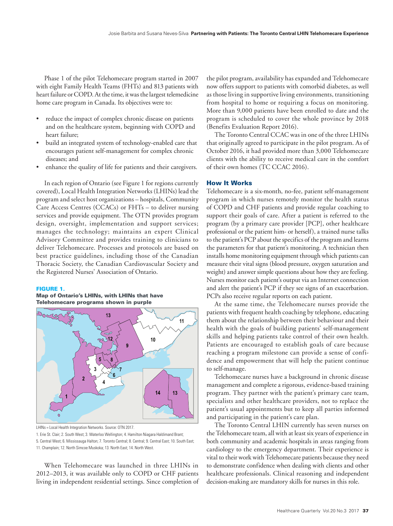Phase 1 of the pilot Telehomecare program started in 2007 with eight Family Health Teams (FHTs) and 813 patients with heart failure or COPD. At the time, it was the largest telemedicine home care program in Canada. Its objectives were to:

- reduce the impact of complex chronic disease on patients and on the healthcare system, beginning with COPD and heart failure;
- build an integrated system of technology-enabled care that encourages patient self-management for complex chronic diseases; and
- enhance the quality of life for patients and their caregivers.

In each region of Ontario (see Figure 1 for regions currently covered), Local Health Integration Networks (LHINs) lead the program and select host organizations – hospitals, Community Care Access Centres (CCACs) or FHTs – to deliver nursing services and provide equipment. The OTN provides program design, oversight, implementation and support services; manages the technology; maintains an expert Clinical Advisory Committee and provides training to clinicians to deliver Telehomecare. Processes and protocols are based on best practice guidelines, including those of the Canadian Thoracic Society, the Canadian Cardiovascular Society and the Registered Nurses' Association of Ontario.

## FIGURE 1.

## Map of Ontario's LHINs, with LHINs that have Telehomecare programs shown in purple



LHINs = Local Health Integration Networks. Source: OTN 2017.

1. Erie St. Clair; 2. South West; 3. Waterloo Wellington; 4. Hamilton Niagara Haldimand Brant; 5. Central West; 6. Mississauga Halton; 7. Toronto Central; 8. Central; 9. Central East; 10. South East;

When Telehomecare was launched in three LHINs in 2012–2013, it was available only to COPD or CHF patients living in independent residential settings. Since completion of the pilot program, availability has expanded and Telehomecare now offers support to patients with comorbid diabetes, as well as those living in supportive living environments, transitioning from hospital to home or requiring a focus on monitoring. More than 9,000 patients have been enrolled to date and the program is scheduled to cover the whole province by 2018 (Benefits Evaluation Report 2016).

The Toronto Central CCAC was in one of the three LHINs that originally agreed to participate in the pilot program. As of October 2016, it had provided more than 3,000 Telehomecare clients with the ability to receive medical care in the comfort of their own homes (TC CCAC 2016).

# How It Works

Telehomecare is a six-month, no-fee, patient self-management program in which nurses remotely monitor the health status of COPD and CHF patients and provide regular coaching to support their goals of care. After a patient is referred to the program (by a primary care provider [PCP], other healthcare professional or the patient him- or herself), a trained nurse talks to the patient's PCP about the specifics of the program and learns the parameters for that patient's monitoring. A technician then installs home monitoring equipment through which patients can measure their vital signs (blood pressure, oxygen saturation and weight) and answer simple questions about how they are feeling. Nurses monitor each patient's output via an Internet connection and alert the patient's PCP if they see signs of an exacerbation. PCPs also receive regular reports on each patient.

At the same time, the Telehomecare nurses provide the patients with frequent health coaching by telephone, educating them about the relationship between their behaviour and their health with the goals of building patients' self-management skills and helping patients take control of their own health. Patients are encouraged to establish goals of care because reaching a program milestone can provide a sense of confidence and empowerment that will help the patient continue to self-manage.

Telehomecare nurses have a background in chronic disease management and complete a rigorous, evidence-based training program. They partner with the patient's primary care team, specialists and other healthcare providers, not to replace the patient's usual appointments but to keep all parties informed and participating in the patient's care plan.

The Toronto Central LHIN currently has seven nurses on the Telehomecare team, all with at least six years of experience in both community and academic hospitals in areas ranging from cardiology to the emergency department. Their experience is vital to their work with Telehomecare patients because they need to demonstrate confidence when dealing with clients and other healthcare professionals. Clinical reasoning and independent decision-making are mandatory skills for nurses in this role.

<sup>11.</sup> Champlain; 12. North Simcoe Muskoka; 13. North East; 14. North West.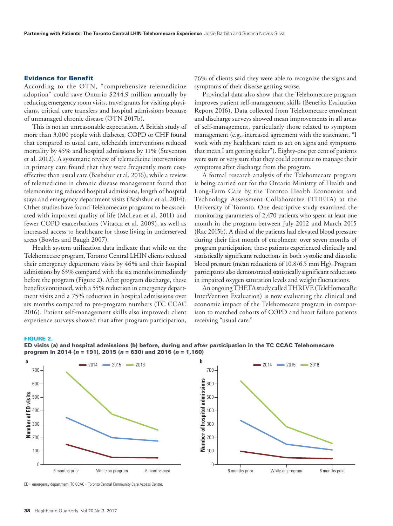# Evidence for Benefit

According to the OTN, "comprehensive telemedicine adoption" could save Ontario \$244.9 million annually by reducing emergency room visits, travel grants for visiting physicians, critical care transfers and hospital admissions because of unmanaged chronic disease (OTN 2017b).

This is not an unreasonable expectation. A British study of more than 3,000 people with diabetes, COPD or CHF found that compared to usual care, telehealth interventions reduced mortality by 45% and hospital admissions by 11% (Steventon et al. 2012). A systematic review of telemedicine interventions in primary care found that they were frequently more costeffective than usual care (Bashshur et al. 2016), while a review of telemedicine in chronic disease management found that telemonitoring reduced hospital admissions, length of hospital stays and emergency department visits (Bashshur et al. 2014). Other studies have found Telehomecare programs to be associated with improved quality of life (McLean et al. 2011) and fewer COPD exacerbations (Vitacca et al. 2009), as well as increased access to healthcare for those living in underserved areas (Bowles and Baugh 2007).

Health system utilization data indicate that while on the Telehomecare program, Toronto Central LHIN clients reduced their emergency department visits by 46% and their hospital admissions by 63% compared with the six months immediately before the program (Figure 2). After program discharge, these benefits continued, with a 55% reduction in emergency department visits and a 75% reduction in hospital admissions over six months compared to pre-program numbers (TC CCAC 2016). Patient self-management skills also improved: client experience surveys showed that after program participation,

76% of clients said they were able to recognize the signs and symptoms of their disease getting worse.

Provincial data also show that the Telehomecare program improves patient self-management skills (Benefits Evaluation Report 2016). Data collected from Telehomecare enrolment and discharge surveys showed mean improvements in all areas of self-management, particularly those related to symptom management (e.g., increased agreement with the statement, "I work with my healthcare team to act on signs and symptoms that mean I am getting sicker"). Eighty-one per cent of patients were sure or very sure that they could continue to manage their symptoms after discharge from the program.

A formal research analysis of the Telehomecare program is being carried out for the Ontario Ministry of Health and Long-Term Care by the Toronto Health Economics and Technology Assessment Collaborative (THETA) at the University of Toronto. One descriptive study examined the monitoring parameters of 2,470 patients who spent at least one month in the program between July 2012 and March 2015 (Rac 2015b). A third of the patients had elevated blood pressure during their first month of enrolment; over seven months of program participation, these patients experienced clinically and statistically significant reductions in both systolic and diastolic blood pressure (mean reductions of 10.8/6.5 mm Hg). Program participants also demonstrated statistically significant reductions in impaired oxygen saturation levels and weight fluctuations.

An ongoing THETA study called THRIVE (TeleHomecaRe InterVention Evaluation) is now evaluating the clinical and economic impact of the Telehomecare program in comparison to matched cohorts of COPD and heart failure patients receiving "usual care."

#### FIGURE 2.



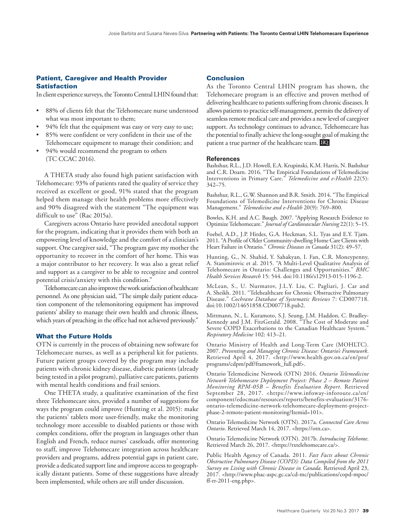# Patient, Caregiver and Health Provider Satisfaction

In client experience surveys, the Toronto Central LHIN found that:

- 88% of clients felt that the Telehomecare nurse understood what was most important to them;
- 94% felt that the equipment was easy or very easy to use;
- 85% were confident or very confident in their use of the Telehomecare equipment to manage their condition; and
- 94% would recommend the program to others (TC CCAC 2016).

A THETA study also found high patient satisfaction with Telehomecare: 93% of patients rated the quality of service they received as excellent or good, 91% stated that the program helped them manage their health problems more effectively and 90% disagreed with the statement "The equipment was difficult to use" (Rac 2015a).

Caregivers across Ontario have provided anecdotal support for the program, indicating that it provides them with both an empowering level of knowledge and the comfort of a clinician's support. One caregiver said, "The program gave my mother the opportunity to recover in the comfort of her home. This was a major contributor to her recovery. It was also a great relief and support as a caregiver to be able to recognize and control potential crisis/anxiety with this condition."

Telehomecare can also improve the work satisfaction of healthcare personnel. As one physician said, "The simple daily patient education component of the telemonitoring equipment has improved patients' ability to manage their own health and chronic illness, which years of preaching in the office had not achieved previously."

## What the Future Holds

OTN is currently in the process of obtaining new software for Telehomecare nurses, as well as a peripheral kit for patients. Future patient groups covered by the program may include patients with chronic kidney disease, diabetic patients (already being tested in a pilot program), palliative care patients, patients with mental health conditions and frail seniors.

One THETA study, a qualitative examination of the first three Telehomecare sites, provided a number of suggestions for ways the program could improve (Hunting et al. 2015): make the patients' tablets more user-friendly, make the monitoring technology more accessible to disabled patients or those with complex conditions, offer the program in languages other than English and French, reduce nurses' caseloads, offer mentoring to staff, improve Telehomecare integration across healthcare providers and programs, address potential gaps in patient care, provide a dedicated support line and improve access to geographically distant patients. Some of these suggestions have already been implemented, while others are still under discussion.

# Conclusion

As the Toronto Central LHIN program has shown, the Telehomecare program is an effective and proven method of delivering healthcare to patients suffering from chronic diseases. It allows patients to practice self-management, permits the delivery of seamless remote medical care and provides a new level of caregiver support. As technology continues to advance, Telehomecare has the potential to finally achieve the long-sought goal of making the patient a true partner of the healthcare team. HQ

### **References**

Bashshur, R.L., J.D. Howell, E.A. Krupinski, K.M. Harris, N. Bashshur and C.R. Doarn. 2016. "The Empirical Foundations of Telemedicine Interventions in Primary Care." *Telemedicine and e-Health* 22(5): 342–75.

Bashshur, R.L., G.W. Shannon and B.R. Smith. 2014. "The Empirical Foundations of Telemedicine Interventions for Chronic Disease Management." *Telemedicine and e-Health* 20(9): 769–800.

Bowles, K.H. and A.C. Baugh. 2007. "Applying Research Evidence to Optimize Telehomecare." *Journal of Cardiovascular Nursing* 22(1): 5–15.

Foebel, A.D., J.P. Hirdes, G.A. Heckman, S.L. Tyas and E.Y. Tjam. 2011. "A Profile of Older Community-dwelling Home Care Clients with Heart Failure in Ontario." *Chronic Diseases in Canada* 31(2): 49–57.

Hunting, G., N. Shahid, Y. Sahakyan, I. Fan, C.R. Moneypenny, A. Stanimirovic et al. 2015. "A Multi-Level Qualitative Analysis of Telehomecare in Ontario: Challenges and Opportunities." *BMC Health Services Research* 15: 544. doi:10.1186/s12913-015-1196-2.

McLean, S., U. Nurmatov, J.L.Y. Liu, C. Pagliari, J. Car and A. Sheikh. 2011. "Telehealthcare for Chronic Obstructive Pulmonary Disease." *Cochrane Database of Systematic Reviews* 7: CD007718. doi:10.1002/14651858.CD007718.pub2.

Mittmann, N., L. Kuramoto, S.J. Seung, J.M. Haddon, C. Bradley-Kennedy and J.M. FitzGerald. 2008. "The Cost of Moderate and Severe COPD Exacerbations to the Canadian Healthcare System." *Respiratory Medicine* 102: 413–21.

Ontario Ministry of Health and Long-Term Care (MOHLTC). 2007. *Preventing and Managing Chronic Disease: Ontario's Framework*. Retrieved April 4, 2017. <[http://www.health.gov.on.ca/en/pro/](http://www.health.gov.on.ca/en/pro/programs/cdpm/pdf/framework_full.pdf) [programs/cdpm/pdf/framework\\_full.pdf](http://www.health.gov.on.ca/en/pro/programs/cdpm/pdf/framework_full.pdf)>.

Ontario Telemedicine Network (OTN) 2016. *Ontario Telemedicine Network Telehomecare Deployment Project: Phase 2 – Remote Patient Monitoring RPM-05B – Benefits Evaluation Report*. Retrieved September 28, 2017. <[https://www.infoway-inforoute.ca/en/](https://www.infoway-inforoute.ca/en/component/edocman/resources/reports/benefits-evaluation/3176-ontario-telemedicine-network-telehomecare-deployment-project-phase-2-remote-patient-monitoring?Itemid=101) [component/edocman/resources/reports/benefits-evaluation/3176](https://www.infoway-inforoute.ca/en/component/edocman/resources/reports/benefits-evaluation/3176-ontario-telemedicine-network-telehomecare-deployment-project-phase-2-remote-patient-monitoring?Itemid=101) [ontario-telemedicine-network-telehomecare-deployment-project](https://www.infoway-inforoute.ca/en/component/edocman/resources/reports/benefits-evaluation/3176-ontario-telemedicine-network-telehomecare-deployment-project-phase-2-remote-patient-monitoring?Itemid=101)[phase-2-remote-patient-monitoring?Itemid=101](https://www.infoway-inforoute.ca/en/component/edocman/resources/reports/benefits-evaluation/3176-ontario-telemedicine-network-telehomecare-deployment-project-phase-2-remote-patient-monitoring?Itemid=101)>.

Ontario Telemedicine Network (OTN). 2017a. *Connected Care Across Ontario*. Retrieved March 14, 2017. <[https://otn.ca>](https://otn.ca).

Ontario Telemedicine Network (OTN). 2017b. *Introducing Telehome*. Retrieved March 26, 2017. [<https://rxtelehomecare.ca/>](https://rxtelehomecare.ca/).

Public Health Agency of Canada. 2011. *Fast Facts about Chronic Obstructive Pulmonary Disease (COPD): Data Compiled from the 2011 Survey on Living with Chronic Disease in Canada*. Retrieved April 23, 2017. [<http://www.phac-aspc.gc.ca/cd-mc/publications/copd-mpoc/](http://www.phac-aspc.gc.ca/cd-mc/publications/copd-mpoc/ff-rr-2011-eng.php) [ff-rr-2011-eng.php>](http://www.phac-aspc.gc.ca/cd-mc/publications/copd-mpoc/ff-rr-2011-eng.php).